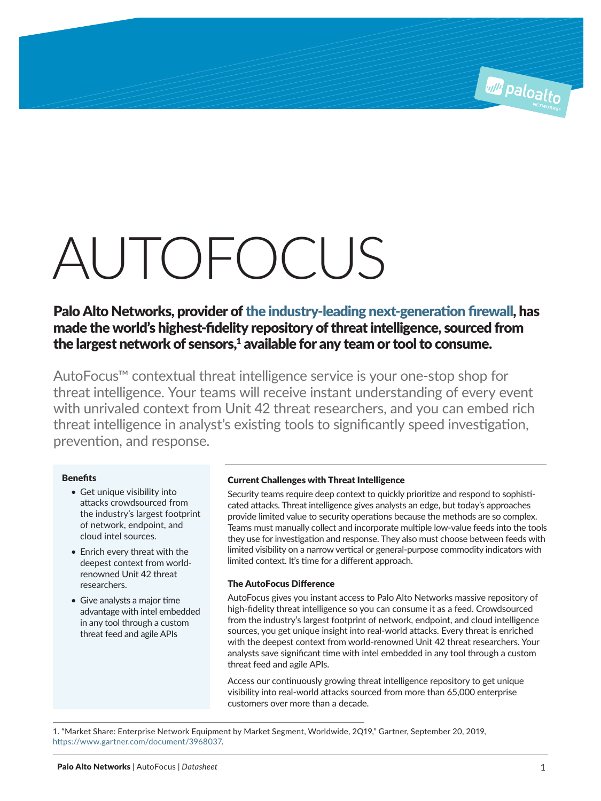# AUTOFOCUS

Palo Alto Networks, provider of [the industry-leading next-generation firewall](https://start.paloaltonetworks.com/2019-gartner-mq-for-firewalls.html), has made the world's highest-fidelity repository of threat intelligence, sourced from the largest network of sensors, $<sup>1</sup>$  available for any team or tool to consume.</sup>

AutoFocus™ contextual threat intelligence service is your one-stop shop for threat intelligence. Your teams will receive instant understanding of every event with unrivaled context from Unit 42 threat researchers, and you can embed rich threat intelligence in analyst's existing tools to significantly speed investigation, prevention, and response.

# **Benefits**

- Get unique visibility into attacks crowdsourced from the industry's largest footprint of network, endpoint, and cloud intel sources.
- Enrich every threat with the deepest context from worldrenowned Unit 42 threat researchers.
- Give analysts a major time advantage with intel embedded in any tool through a custom threat feed and agile APIs

# Current Challenges with Threat Intelligence

Security teams require deep context to quickly prioritize and respond to sophisticated attacks. Threat intelligence gives analysts an edge, but today's approaches provide limited value to security operations because the methods are so complex. Teams must manually collect and incorporate multiple low-value feeds into the tools they use for investigation and response. They also must choose between feeds with limited visibility on a narrow vertical or general-purpose commodity indicators with limited context. It's time for a different approach.

# The AutoFocus Difference

AutoFocus gives you instant access to Palo Alto Networks massive repository of high-fidelity threat intelligence so you can consume it as a feed. Crowdsourced from the industry's largest footprint of network, endpoint, and cloud intelligence sources, you get unique insight into real-world attacks. Every threat is enriched with the deepest context from world-renowned Unit 42 threat researchers. Your analysts save significant time with intel embedded in any tool through a custom threat feed and agile APIs.

Access our continuously growing threat intelligence repository to get unique visibility into real-world attacks sourced from more than 65,000 enterprise customers over more than a decade.

1. "Market Share: Enterprise Network Equipment by Market Segment, Worldwide, 2Q19," Gartner, September 20, 2019, https://www.gartner.com/document/3968037.

**All Paloalto**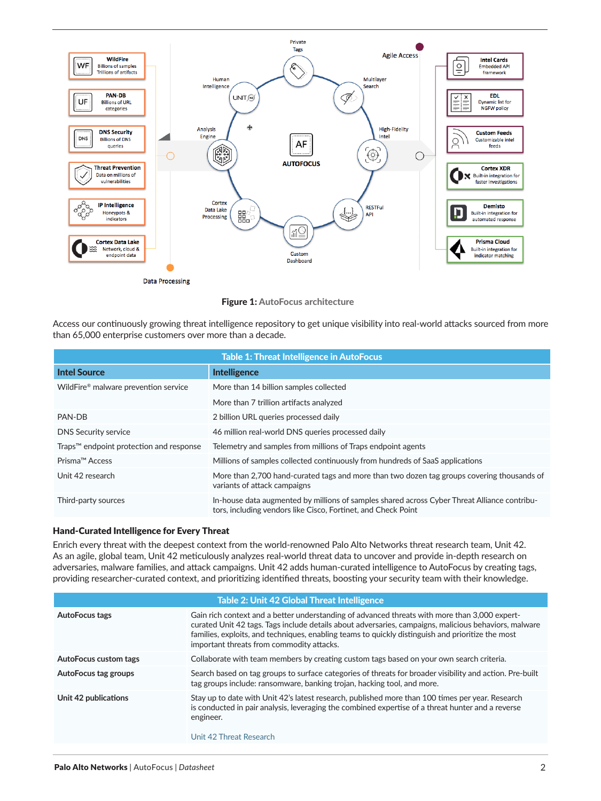

Figure 1: AutoFocus architecture

Access our continuously growing threat intelligence repository to get unique visibility into real-world attacks sourced from more than 65,000 enterprise customers over more than a decade.

| <b>Table 1: Threat Intelligence in AutoFocus</b> |                                                                                                                                                               |  |
|--------------------------------------------------|---------------------------------------------------------------------------------------------------------------------------------------------------------------|--|
| <b>Intel Source</b>                              | <b>Intelligence</b>                                                                                                                                           |  |
| WildFire® malware prevention service             | More than 14 billion samples collected                                                                                                                        |  |
|                                                  | More than 7 trillion artifacts analyzed                                                                                                                       |  |
| PAN-DB                                           | 2 billion URL queries processed daily                                                                                                                         |  |
| <b>DNS Security service</b>                      | 46 million real-world DNS queries processed daily                                                                                                             |  |
| Traps™ endpoint protection and response          | Telemetry and samples from millions of Traps endpoint agents                                                                                                  |  |
| Prisma™ Access                                   | Millions of samples collected continuously from hundreds of SaaS applications                                                                                 |  |
| Unit 42 research                                 | More than 2,700 hand-curated tags and more than two dozen tag groups covering thousands of<br>variants of attack campaigns                                    |  |
| Third-party sources                              | In-house data augmented by millions of samples shared across Cyber Threat Alliance contribu-<br>tors, including vendors like Cisco, Fortinet, and Check Point |  |

# Hand-Curated Intelligence for Every Threat

Enrich every threat with the deepest context from the world-renowned Palo Alto Networks threat research team, Unit 42. As an agile, global team, Unit 42 meticulously analyzes real-world threat data to uncover and provide in-depth research on adversaries, malware families, and attack campaigns. Unit 42 adds human-curated intelligence to AutoFocus by creating tags, providing researcher-curated context, and prioritizing identified threats, boosting your security team with their knowledge.

| <b>Table 2: Unit 42 Global Threat Intelligence</b> |                                                                                                                                                                                                                                                                                                                                                          |  |
|----------------------------------------------------|----------------------------------------------------------------------------------------------------------------------------------------------------------------------------------------------------------------------------------------------------------------------------------------------------------------------------------------------------------|--|
| AutoFocus tags                                     | Gain rich context and a better understanding of advanced threats with more than 3,000 expert-<br>curated Unit 42 tags. Tags include details about adversaries, campaigns, malicious behaviors, malware<br>families, exploits, and techniques, enabling teams to quickly distinguish and prioritize the most<br>important threats from commodity attacks. |  |
| AutoFocus custom tags                              | Collaborate with team members by creating custom tags based on your own search criteria.                                                                                                                                                                                                                                                                 |  |
| AutoFocus tag groups                               | Search based on tag groups to surface categories of threats for broader visibility and action. Pre-built<br>tag groups include: ransomware, banking trojan, hacking tool, and more.                                                                                                                                                                      |  |
| Unit 42 publications                               | Stay up to date with Unit 42's latest research, published more than 100 times per year. Research<br>is conducted in pair analysis, leveraging the combined expertise of a threat hunter and a reverse<br>engineer.<br>Unit 42 Threat Research                                                                                                            |  |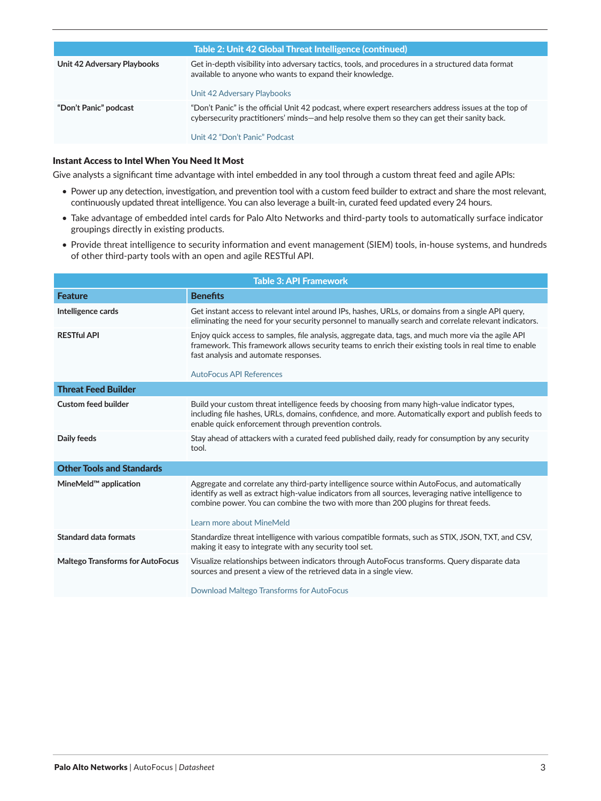| Table 2: Unit 42 Global Threat Intelligence (continued) |                                                                                                                                                                                                                                      |  |
|---------------------------------------------------------|--------------------------------------------------------------------------------------------------------------------------------------------------------------------------------------------------------------------------------------|--|
| Unit 42 Adversary Playbooks                             | Get in-depth visibility into adversary tactics, tools, and procedures in a structured data format<br>available to anyone who wants to expand their knowledge.<br>Unit 42 Adversary Playbooks                                         |  |
| "Don't Panic" podcast                                   | "Don't Panic" is the official Unit 42 podcast, where expert researchers address issues at the top of<br>cybersecurity practitioners' minds—and help resolve them so they can get their sanity back.<br>Unit 42 "Don't Panic" Podcast |  |

### Instant Access to Intel When You Need It Most

Give analysts a significant time advantage with intel embedded in any tool through a custom threat feed and agile APIs:

- Power up any detection, investigation, and prevention tool with a custom feed builder to extract and share the most relevant, continuously updated threat intelligence. You can also leverage a built-in, curated feed updated every 24 hours.
- Take advantage of embedded intel cards for Palo Alto Networks and third-party tools to automatically surface indicator groupings directly in existing products.
- Provide threat intelligence to security information and event management (SIEM) tools, in-house systems, and hundreds of other third-party tools with an open and agile RESTful API.

| <b>Table 3: API Framework</b>           |                                                                                                                                                                                                                                                                                                                              |  |
|-----------------------------------------|------------------------------------------------------------------------------------------------------------------------------------------------------------------------------------------------------------------------------------------------------------------------------------------------------------------------------|--|
| <b>Feature</b>                          | <b>Benefits</b>                                                                                                                                                                                                                                                                                                              |  |
| Intelligence cards                      | Get instant access to relevant intel around IPs, hashes, URLs, or domains from a single API query,<br>eliminating the need for your security personnel to manually search and correlate relevant indicators.                                                                                                                 |  |
| <b>RESTful API</b>                      | Enjoy quick access to samples, file analysis, aggregate data, tags, and much more via the agile API<br>framework. This framework allows security teams to enrich their existing tools in real time to enable<br>fast analysis and automate responses.                                                                        |  |
|                                         | <b>AutoFocus API References</b>                                                                                                                                                                                                                                                                                              |  |
| <b>Threat Feed Builder</b>              |                                                                                                                                                                                                                                                                                                                              |  |
| <b>Custom feed builder</b>              | Build your custom threat intelligence feeds by choosing from many high-value indicator types,<br>including file hashes, URLs, domains, confidence, and more. Automatically export and publish feeds to<br>enable quick enforcement through prevention controls.                                                              |  |
| Daily feeds                             | Stay ahead of attackers with a curated feed published daily, ready for consumption by any security<br>tool.                                                                                                                                                                                                                  |  |
| <b>Other Tools and Standards</b>        |                                                                                                                                                                                                                                                                                                                              |  |
| MineMeld™ application                   | Aggregate and correlate any third-party intelligence source within AutoFocus, and automatically<br>identify as well as extract high-value indicators from all sources, leveraging native intelligence to<br>combine power. You can combine the two with more than 200 plugins for threat feeds.<br>Learn more about MineMeld |  |
| Standard data formats                   | Standardize threat intelligence with various compatible formats, such as STIX, JSON, TXT, and CSV,                                                                                                                                                                                                                           |  |
|                                         | making it easy to integrate with any security tool set.                                                                                                                                                                                                                                                                      |  |
| <b>Maltego Transforms for AutoFocus</b> | Visualize relationships between indicators through AutoFocus transforms. Query disparate data<br>sources and present a view of the retrieved data in a single view.                                                                                                                                                          |  |
|                                         | Download Maltego Transforms for AutoFocus                                                                                                                                                                                                                                                                                    |  |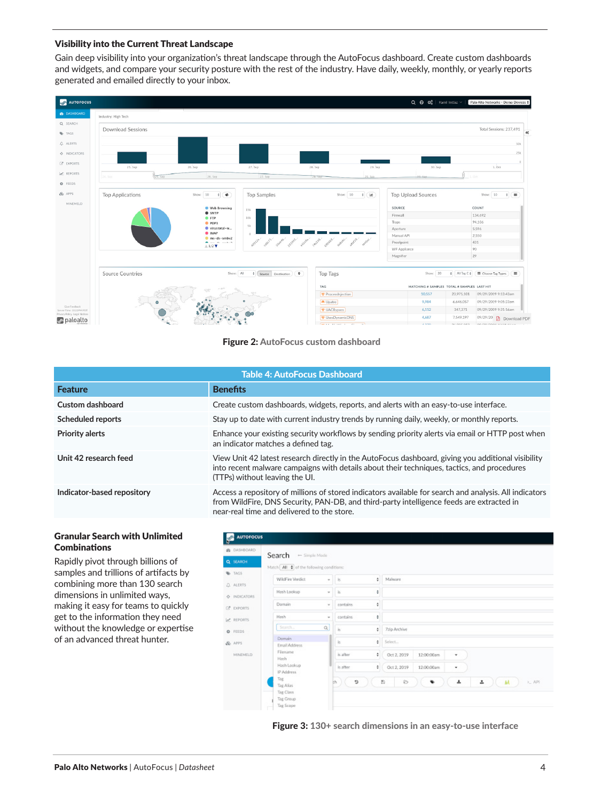### Visibility into the Current Threat Landscape

Gain deep visibility into your organization's threat landscape through the AutoFocus dashboard. Create custom dashboards and widgets, and compare your security posture with the rest of the industry. Have daily, weekly, monthly, or yearly reports generated and emailed directly to your inbox.



### Figure 2: AutoFocus custom dashboard

| <b>Table 4: AutoFocus Dashboard</b> |                                                                                                                                                                                                                                                  |  |
|-------------------------------------|--------------------------------------------------------------------------------------------------------------------------------------------------------------------------------------------------------------------------------------------------|--|
| <b>Feature</b>                      | <b>Benefits</b>                                                                                                                                                                                                                                  |  |
| Custom dashboard                    | Create custom dashboards, widgets, reports, and alerts with an easy-to-use interface.                                                                                                                                                            |  |
| Scheduled reports                   | Stay up to date with current industry trends by running daily, weekly, or monthly reports.                                                                                                                                                       |  |
| <b>Priority alerts</b>              | Enhance your existing security workflows by sending priority alerts via email or HTTP post when<br>an indicator matches a defined tag.                                                                                                           |  |
| Unit 42 research feed               | View Unit 42 latest research directly in the AutoFocus dashboard, giving you additional visibility<br>into recent malware campaigns with details about their techniques, tactics, and procedures<br>(TTPs) without leaving the UI.               |  |
| Indicator-based repository          | Access a repository of millions of stored indicators available for search and analysis. All indicators<br>from WildFire, DNS Security, PAN-DB, and third-party intelligence feeds are extracted in<br>near-real time and delivered to the store. |  |
|                                     |                                                                                                                                                                                                                                                  |  |

### Granular Search with Unlimited Combinations

Rapidly pivot through billions of samples and trillions of artifacts by combining more than 130 search dimensions in unlimited ways, making it easy for teams to quickly get to the information they need without the knowledge or expertise of an advanced threat hunter.



Figure 3: 130+ search dimensions in an easy-to-use interface